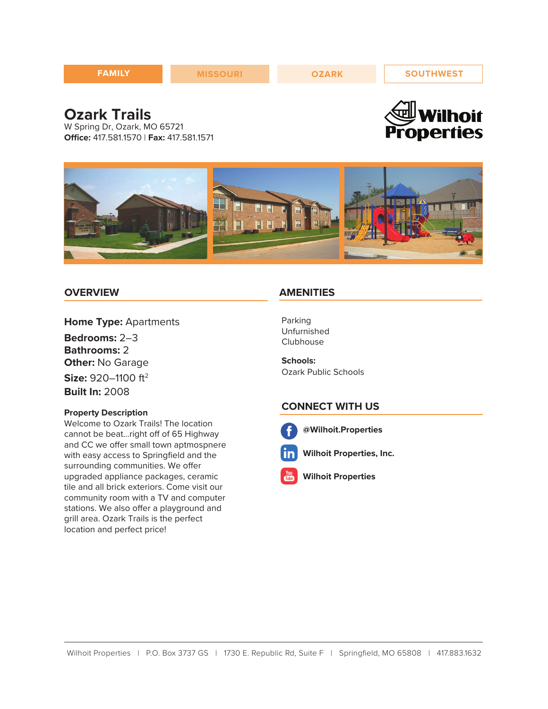| <b>FAMILY</b> | <b>MISSOURI</b> | <b>OZARK</b> | <b>SOUTHWEST</b> |
|---------------|-----------------|--------------|------------------|
|               |                 |              | $\sim$           |

# **Ozark Trails**

W Spring Dr, Ozark, MO 65721 **Office:** 417.581.1570 | **Fax:** 417.581.1571





# **OVERVIEW**

**Home Type:** Apartments

**Bedrooms:** 2–3 **Bathrooms:** 2 **Other:** No Garage **Size:** 920–1100 ft<sup>2</sup> **Built In:** 2008

#### **Property Description**

Welcome to Ozark Trails! The location cannot be beat…right off of 65 Highway and CC we offer small town aptmospnere with easy access to Springfield and the surrounding communities. We offer upgraded appliance packages, ceramic tile and all brick exteriors. Come visit our community room with a TV and computer stations. We also offer a playground and grill area. Ozark Trails is the perfect location and perfect price!

### **AMENITIES**

Parking Unfurnished Clubhouse

**Schools:** Ozark Public Schools

### **CONNECT WITH US**



**@Wilhoit.Properties**



**Wilhoit Properties, Inc.**

**Wilhoit Properties**